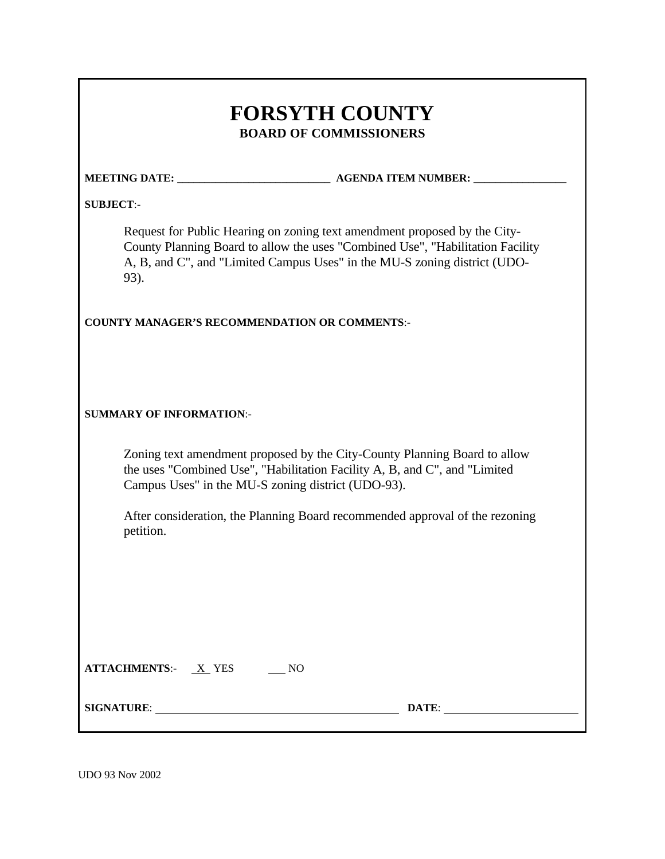| <b>FORSYTH COUNTY</b><br><b>BOARD OF COMMISSIONERS</b> |                                                                                                                                                                                                                                          |  |
|--------------------------------------------------------|------------------------------------------------------------------------------------------------------------------------------------------------------------------------------------------------------------------------------------------|--|
|                                                        |                                                                                                                                                                                                                                          |  |
| <b>SUBJECT:-</b>                                       |                                                                                                                                                                                                                                          |  |
| 93).                                                   | Request for Public Hearing on zoning text amendment proposed by the City-<br>County Planning Board to allow the uses "Combined Use", "Habilitation Facility<br>A, B, and C", and "Limited Campus Uses" in the MU-S zoning district (UDO- |  |
| <b>COUNTY MANAGER'S RECOMMENDATION OR COMMENTS:-</b>   |                                                                                                                                                                                                                                          |  |
|                                                        |                                                                                                                                                                                                                                          |  |
| <b>SUMMARY OF INFORMATION:-</b>                        |                                                                                                                                                                                                                                          |  |
|                                                        | Zoning text amendment proposed by the City-County Planning Board to allow<br>the uses "Combined Use", "Habilitation Facility A, B, and C", and "Limited<br>Campus Uses" in the MU-S zoning district (UDO-93).                            |  |
| petition.                                              | After consideration, the Planning Board recommended approval of the rezoning                                                                                                                                                             |  |
|                                                        |                                                                                                                                                                                                                                          |  |
|                                                        |                                                                                                                                                                                                                                          |  |
|                                                        |                                                                                                                                                                                                                                          |  |
| ATTACHMENTS: X YES NO                                  |                                                                                                                                                                                                                                          |  |
|                                                        | DATE:                                                                                                                                                                                                                                    |  |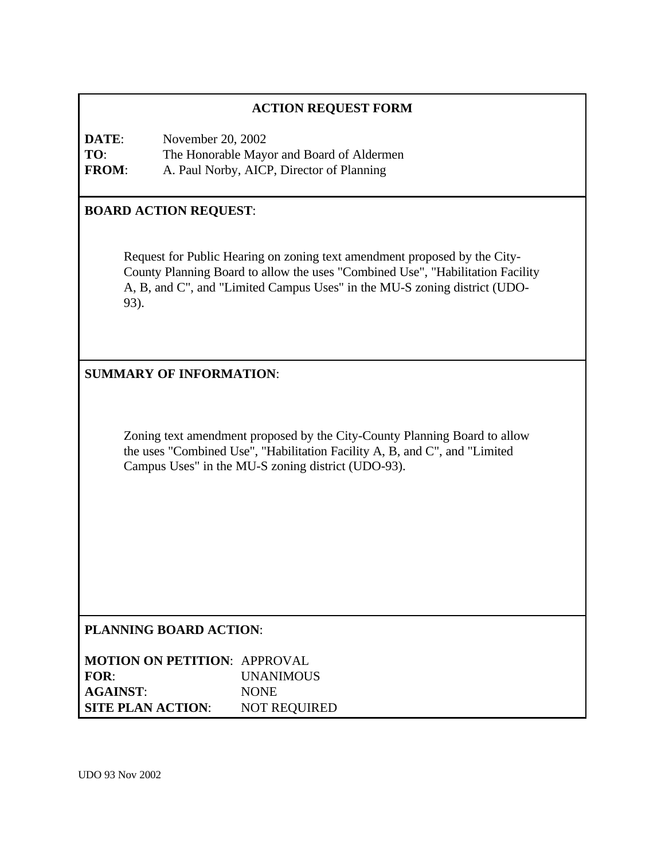# **ACTION REQUEST FORM**

**DATE:** November 20, 2002 **TO**: The Honorable Mayor and Board of Aldermen **FROM**: A. Paul Norby, AICP, Director of Planning

#### **BOARD ACTION REQUEST**:

Request for Public Hearing on zoning text amendment proposed by the City-County Planning Board to allow the uses "Combined Use", "Habilitation Facility A, B, and C", and "Limited Campus Uses" in the MU-S zoning district (UDO-93).

### **SUMMARY OF INFORMATION**:

Zoning text amendment proposed by the City-County Planning Board to allow the uses "Combined Use", "Habilitation Facility A, B, and C", and "Limited Campus Uses" in the MU-S zoning district (UDO-93).

#### **PLANNING BOARD ACTION**:

| <b>MOTION ON PETITION: APPROVAL</b> |                     |
|-------------------------------------|---------------------|
| FOR:                                | <i>UNANIMOUS</i>    |
| <b>AGAINST:</b>                     | <b>NONE</b>         |
| <b>SITE PLAN ACTION:</b>            | <b>NOT REQUIRED</b> |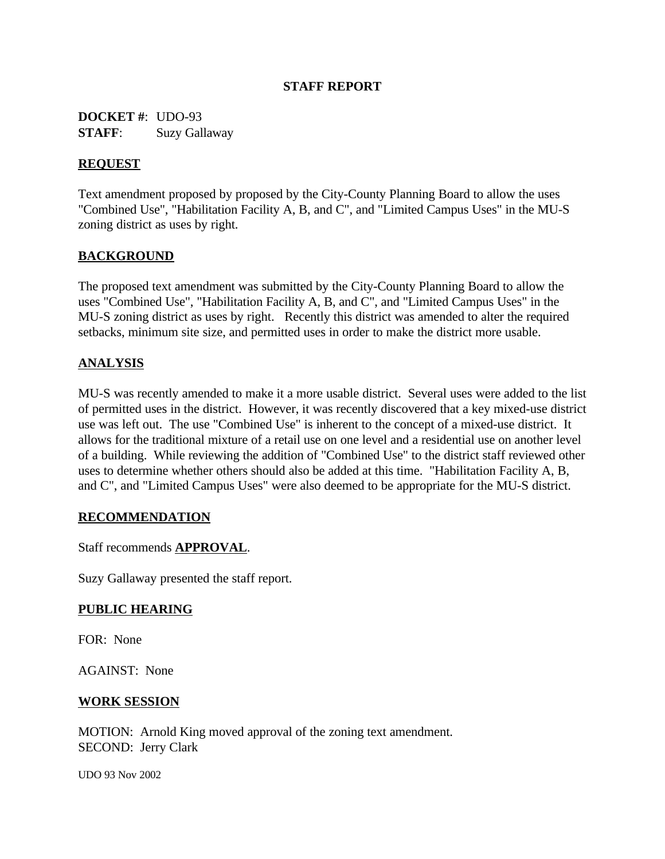### **STAFF REPORT**

**DOCKET #**: UDO-93 **STAFF**: Suzy Gallaway

### **REQUEST**

Text amendment proposed by proposed by the City-County Planning Board to allow the uses "Combined Use", "Habilitation Facility A, B, and C", and "Limited Campus Uses" in the MU-S zoning district as uses by right.

### **BACKGROUND**

The proposed text amendment was submitted by the City-County Planning Board to allow the uses "Combined Use", "Habilitation Facility A, B, and C", and "Limited Campus Uses" in the MU-S zoning district as uses by right. Recently this district was amended to alter the required setbacks, minimum site size, and permitted uses in order to make the district more usable.

### **ANALYSIS**

MU-S was recently amended to make it a more usable district. Several uses were added to the list of permitted uses in the district. However, it was recently discovered that a key mixed-use district use was left out. The use "Combined Use" is inherent to the concept of a mixed-use district. It allows for the traditional mixture of a retail use on one level and a residential use on another level of a building. While reviewing the addition of "Combined Use" to the district staff reviewed other uses to determine whether others should also be added at this time. "Habilitation Facility A, B, and C", and "Limited Campus Uses" were also deemed to be appropriate for the MU-S district.

#### **RECOMMENDATION**

Staff recommends **APPROVAL**.

Suzy Gallaway presented the staff report.

#### **PUBLIC HEARING**

FOR: None

AGAINST: None

#### **WORK SESSION**

MOTION: Arnold King moved approval of the zoning text amendment. SECOND: Jerry Clark

UDO 93 Nov 2002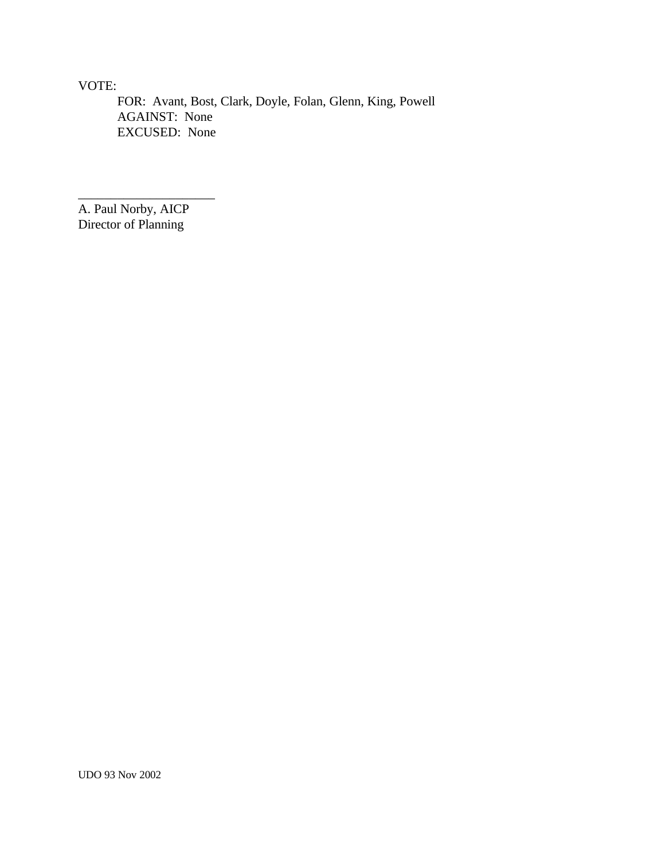VOTE:

FOR: Avant, Bost, Clark, Doyle, Folan, Glenn, King, Powell AGAINST: None EXCUSED: None

A. Paul Norby, AICP Director of Planning

\_\_\_\_\_\_\_\_\_\_\_\_\_\_\_\_\_\_\_\_\_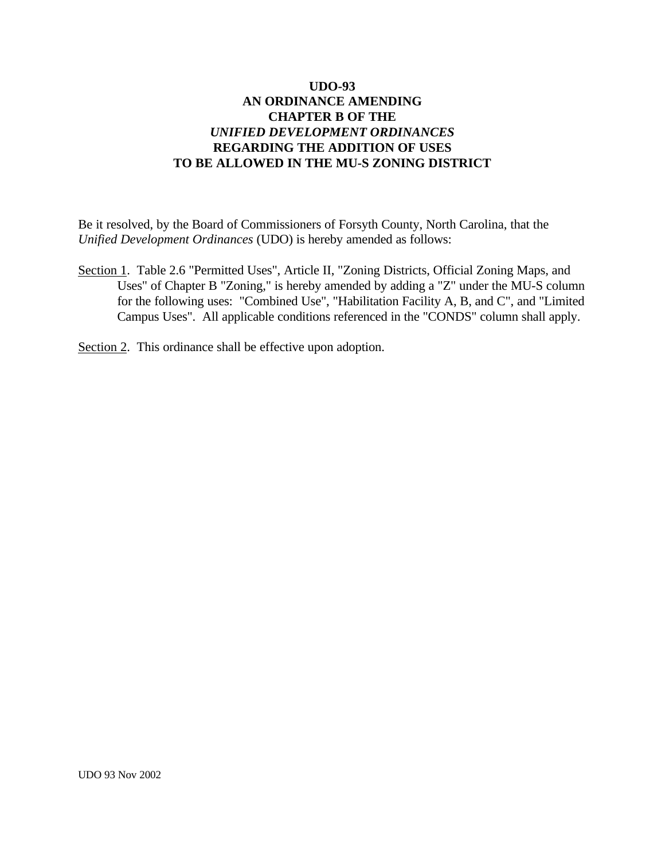Be it resolved, by the Board of Commissioners of Forsyth County, North Carolina, that the *Unified Development Ordinances* (UDO) is hereby amended as follows:

Section 1. Table 2.6 "Permitted Uses", Article II, "Zoning Districts, Official Zoning Maps, and Uses" of Chapter B "Zoning," is hereby amended by adding a "Z" under the MU-S column for the following uses: "Combined Use", "Habilitation Facility A, B, and C", and "Limited Campus Uses". All applicable conditions referenced in the "CONDS" column shall apply.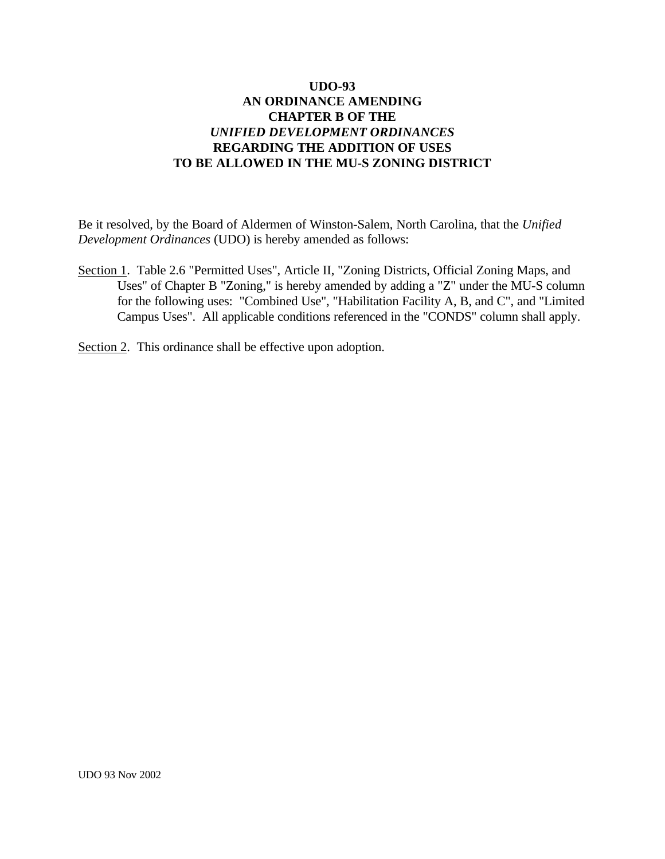Be it resolved, by the Board of Aldermen of Winston-Salem, North Carolina, that the *Unified Development Ordinances* (UDO) is hereby amended as follows:

Section 1. Table 2.6 "Permitted Uses", Article II, "Zoning Districts, Official Zoning Maps, and Uses" of Chapter B "Zoning," is hereby amended by adding a "Z" under the MU-S column for the following uses: "Combined Use", "Habilitation Facility A, B, and C", and "Limited Campus Uses". All applicable conditions referenced in the "CONDS" column shall apply.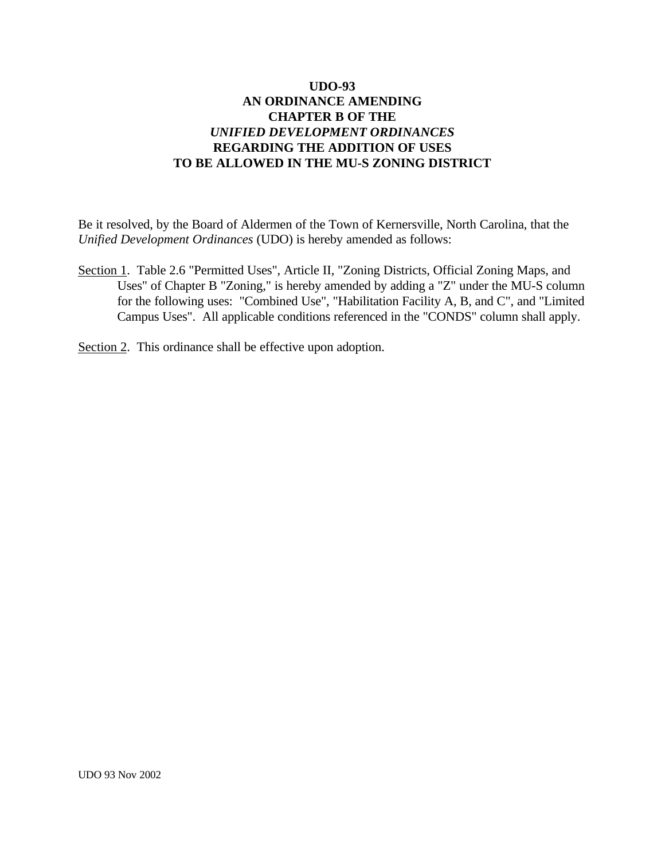Be it resolved, by the Board of Aldermen of the Town of Kernersville, North Carolina, that the *Unified Development Ordinances* (UDO) is hereby amended as follows:

Section 1. Table 2.6 "Permitted Uses", Article II, "Zoning Districts, Official Zoning Maps, and Uses" of Chapter B "Zoning," is hereby amended by adding a "Z" under the MU-S column for the following uses: "Combined Use", "Habilitation Facility A, B, and C", and "Limited Campus Uses". All applicable conditions referenced in the "CONDS" column shall apply.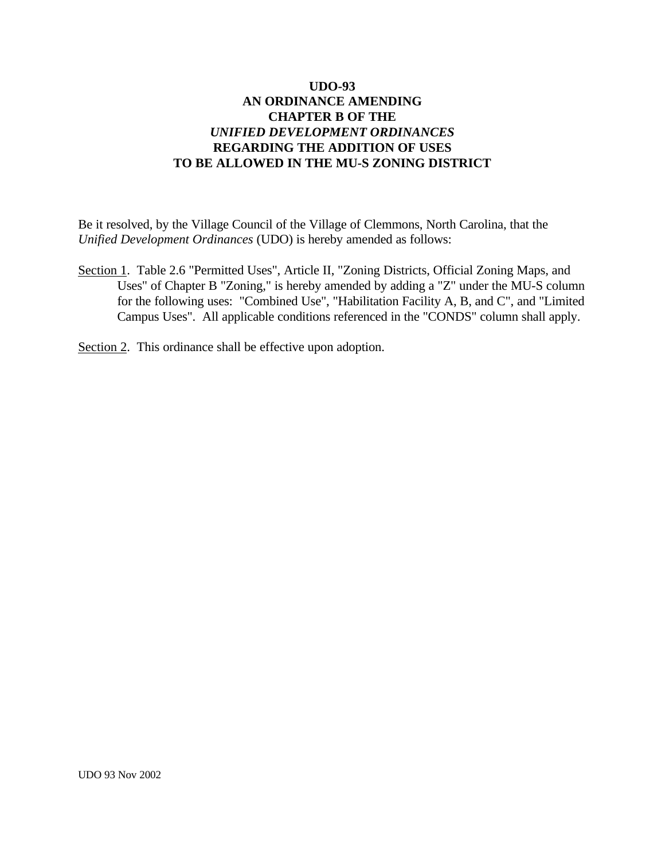Be it resolved, by the Village Council of the Village of Clemmons, North Carolina, that the *Unified Development Ordinances* (UDO) is hereby amended as follows:

Section 1. Table 2.6 "Permitted Uses", Article II, "Zoning Districts, Official Zoning Maps, and Uses" of Chapter B "Zoning," is hereby amended by adding a "Z" under the MU-S column for the following uses: "Combined Use", "Habilitation Facility A, B, and C", and "Limited Campus Uses". All applicable conditions referenced in the "CONDS" column shall apply.